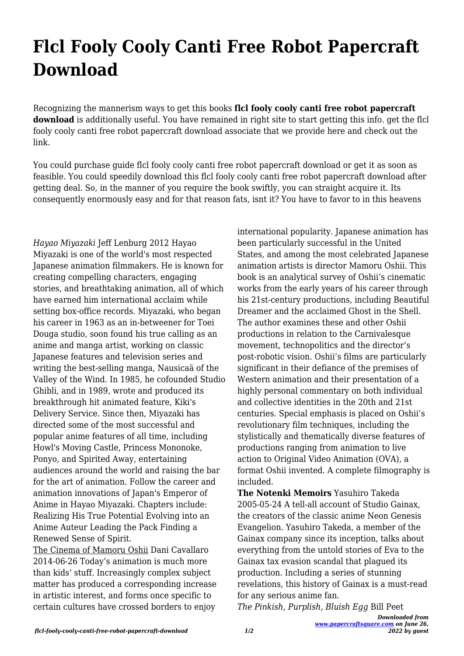## **Flcl Fooly Cooly Canti Free Robot Papercraft Download**

Recognizing the mannerism ways to get this books **flcl fooly cooly canti free robot papercraft download** is additionally useful. You have remained in right site to start getting this info. get the flcl fooly cooly canti free robot papercraft download associate that we provide here and check out the link.

You could purchase guide flcl fooly cooly canti free robot papercraft download or get it as soon as feasible. You could speedily download this flcl fooly cooly canti free robot papercraft download after getting deal. So, in the manner of you require the book swiftly, you can straight acquire it. Its consequently enormously easy and for that reason fats, isnt it? You have to favor to in this heavens

*Hayao Miyazaki* Jeff Lenburg 2012 Hayao Miyazaki is one of the world's most respected Japanese animation filmmakers. He is known for creating compelling characters, engaging stories, and breathtaking animation, all of which have earned him international acclaim while setting box-office records. Miyazaki, who began his career in 1963 as an in-betweener for Toei Douga studio, soon found his true calling as an anime and manga artist, working on classic Japanese features and television series and writing the best-selling manga, Nausicaä of the Valley of the Wind. In 1985, he cofounded Studio Ghibli, and in 1989, wrote and produced its breakthrough hit animated feature, Kiki's Delivery Service. Since then, Miyazaki has directed some of the most successful and popular anime features of all time, including Howl's Moving Castle, Princess Mononoke, Ponyo, and Spirited Away, entertaining audiences around the world and raising the bar for the art of animation. Follow the career and animation innovations of Japan's Emperor of Anime in Hayao Miyazaki. Chapters include: Realizing His True Potential Evolving into an Anime Auteur Leading the Pack Finding a Renewed Sense of Spirit.

The Cinema of Mamoru Oshii Dani Cavallaro 2014-06-26 Today's animation is much more than kids' stuff. Increasingly complex subject matter has produced a corresponding increase in artistic interest, and forms once specific to certain cultures have crossed borders to enjoy

international popularity. Japanese animation has been particularly successful in the United States, and among the most celebrated Japanese animation artists is director Mamoru Oshii. This book is an analytical survey of Oshii's cinematic works from the early years of his career through his 21st-century productions, including Beautiful Dreamer and the acclaimed Ghost in the Shell. The author examines these and other Oshii productions in relation to the Carnivalesque movement, technopolitics and the director's post-robotic vision. Oshii's films are particularly significant in their defiance of the premises of Western animation and their presentation of a highly personal commentary on both individual and collective identities in the 20th and 21st centuries. Special emphasis is placed on Oshii's revolutionary film techniques, including the stylistically and thematically diverse features of productions ranging from animation to live action to Original Video Animation (OVA), a format Oshii invented. A complete filmography is included.

**The Notenki Memoirs** Yasuhiro Takeda 2005-05-24 A tell-all account of Studio Gainax, the creators of the classic anime Neon Genesis Evangelion. Yasuhiro Takeda, a member of the Gainax company since its inception, talks about everything from the untold stories of Eva to the Gainax tax evasion scandal that plagued its production. Including a series of stunning revelations, this history of Gainax is a must-read for any serious anime fan.

*The Pinkish, Purplish, Bluish Egg* Bill Peet